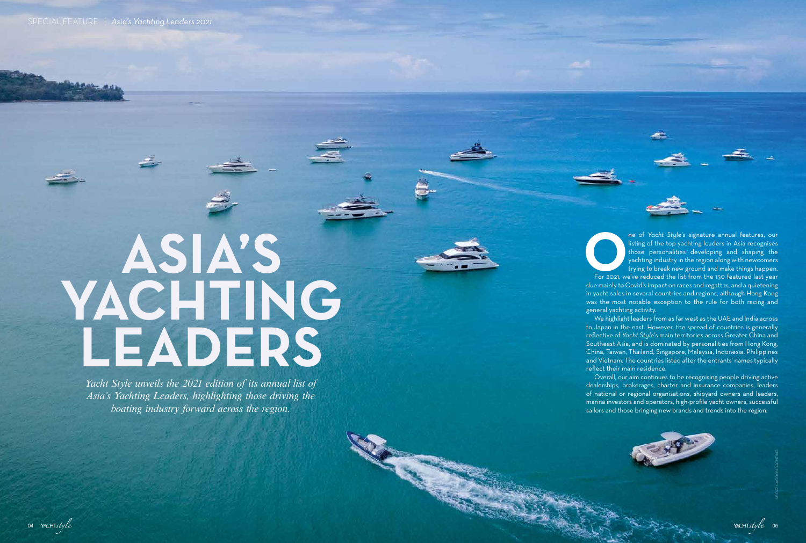## **ASIA'S YACHTING LEADERS**

*Yacht Style unveils the 2021 edition of its annual list of Asia's Yachting Leaders, highlighting those driving the boating industry forward across the region.*



**OPER FIRE 1999 STAR Style's signature annual features, our listing of the top yachting leaders in Asia recognises those personalities developing and shaping the yachting industry in the region along with newcomers trying** listing of the top yachting leaders in Asia recognises those personalities developing and shaping the yachting industry in the region along with newcomers trying to break new ground and make things happen.

due mainly to Covid's impact on races and regattas, and a quietening in yacht sales in several countries and regions, although Hong Kong was the most notable exception to the rule for both racing and general yachting activity.

We highlight leaders from as far west as the UAE and India across to Japan in the east. However, the spread of countries is generally reflective of *Yacht Style*'s main territories across Greater China and Southeast Asia, and is dominated by personalities from Hong Kong, China, Taiwan, Thailand, Singapore, Malaysia, Indonesia, Philippines and Vietnam. The countries listed after the entrants' names typically reflect their main residence.

Overall, our aim continues to be recognising people driving active dealerships, brokerages, charter and insurance companies, leaders of national or regional organisations, shipyard owners and leaders, marina investors and operators, high-profile yacht owners, successful sailors and those bringing new brands and trends into the region.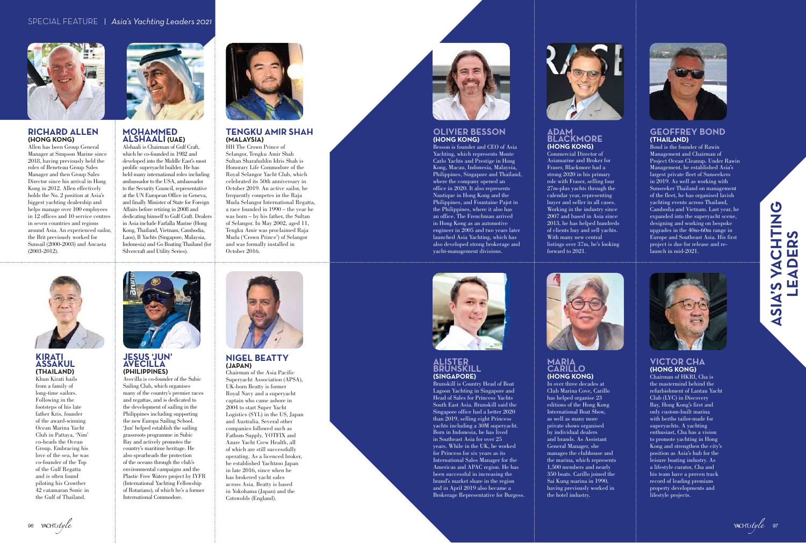#### **RICHARD ALLEN (HONG KONG)**

Allen has been Group General Manager at Simpson Marine since 2018, having previously held the roles of Beneteau Group Sales Manager and then Group Sales Director since his arrival in Hong Kong in 2012. Allen effectively holds the No. 2 position at Asia's biggest yachting dealership and helps manage over 100 employees in 12 offices and 10 service centres in seven countries and regions around Asia. An experienced sailor, the Brit previously worked for Sunsail (2000-2003) and Ancasta (2003-2012).



#### **OLIVIER BESSON (HONG KONG)**

Besson is founder and CEO of Asia Yachting, which represents Monte Carlo Yachts and Prestige in Hong Kong, Macau, Indonesia, Malaysia, Philippines, Singapore and Thailand, where the company opened an office in 2020. It also represents Nautique in Hong Kong and the Philippines, and Fountaine Pajot in the Philippines, where it also has an office. The Frenchman arrived in Hong Kong as an automotive engineer in 2005 and two years later launched Asia Yachting, which has also developed strong brokerage and yacht-management divisions.



#### **ALISTER BRUNSKILL (SINGAPORE)**

Brunskill is Country Head of Boat Lagoon Yachting in Singapore and Head of Sales for Princess Yachts South East Asia. Brunskill said the Singapore office had a better 2020 than 2019, selling eight Princess yachts including a 30M superyacht. Born in Indonesia, he has lived in Southeast Asia for over 25 years. While in the UK, he worked for Princess for six years as its International Sales Manager for the Americas and APAC region. He has been successful in increasing the brand's market share in the region and in April 2019 also became a Brokerage Representative for Burgess.



#### **MARIA CARILLO (HONG KONG)**

In over three decades at Club Marina Cove, Carillo has helped organise 23 editions of the Hong Kong International Boat Show, as well as many more private shows organised by individual dealers and brands. As Assistant General Manager, she manages the clubhouse and the marina, which represents 1,500 members and nearly 350 boats. Carillo joined the Sai Kung marina in 1990, having previously worked in the hotel industry.



#### **VICTOR CHA (HONG KONG)**

Chairman of HKRI, Cha is the mastermind behind the refurbishment of Lantau Yacht Club (LYC) in Discovery Bay, Hong Kong's first and only custom-built marina with berths tailor-made for superyachts. A yachting enthusiast, Cha has a vision to promote yachting in Hong Kong and strengthen the city's position as Asia's hub for the leisure boating industry. As a lifestyle curator, Cha and his team have a proven track record of leading premium property developments and lifestyle projects.

## S VACHTING<br>EADERS **PASIA'S YASIA'S YACHTING LEADERS** ASIA'S



#### **ADAM BLACKMORE (HONG KONG)**

Commercial Director of Asiamarine and Broker for Fraser, Blackmore had a strong 2020 in his primary role with Fraser, selling four 27<sub>m</sub>-plus yachts through the calendar year, representing buyer and seller in all cases. Working in the industry since 2007 and based in Asia since 2013, he has helped hundreds of clients buy and sell yachts. With many new central listings over 37m, he's looking forward to 2021.



#### **GEOFFREY BOND (THAILAND)**

Bond is the founder of Rawin Management and Chairman of Project Ocean Cleanup. Under Rawin Management, he established Asia's largest private fleet of Sunseekers in 2019. As well as working with Sunseeker Thailand on management of the fleet, he has organised lavish yachting events across Thailand, Cambodia and Vietnam. Last year, he expanded into the superyacht scene, designing and working on bespoke upgrades in the 40m-60m range in Europe and Southeast Asia. His first project is due for release and relaunch in mid-2021.



#### **MOHAMMED ALSHAALI (UAE)**

Alshaali is Chairman of Gulf Craft, which he co-founded in 1982 and developed into the Middle East's most prolific superyacht builder. He has held many international roles including ambassador to the USA, ambassador to the Security Council, representative at the UN European Office in Geneva, and finally Minister of State for Foreign Affairs before retiring in 2008 and dedicating himself to Gulf Craft. Dealers in Asia include Farfalla Marine (Hong Kong, Thailand, Vietnam, Cambodia, Laos), B Yachts (Singapore, Malaysia, Indonesia) and Go Boating Thailand (for Silvercraft and Utility Series).



#### **TENGKU AMIR SHAH (MALAYSIA)**

HH The Crown Prince of Selangor, Tengku Amir Shah Sultan Sharafuddin Idris Shah is Honorary Life Commodore of the Royal Selangor Yacht Club, which celebrated its 50th anniversary in October 2019. An active sailor, he frequently competes in the Raja Muda Selangor International Regatta, a race founded in 1990 – the year he was born – by his father, the Sultan of Selangor. In May 2002, aged 11, Tengku Amir was proclaimed Raja Muda ('Crown Prince') of Selangor and was formally installed in October 2016.



#### **JESUS 'JUN' AVECILLA (PHILIPPINES)**

Avecilla is co-founder of the Subic Sailing Club, which organises many of the country's premier races and regattas, and is dedicated to the development of sailing in the Philippines including supporting the new Europa Sailing School. 'Jun' helped establish the sailing grassroots programme in Subic Bay and actively promotes the country's maritime heritage. He also spearheads the protection of the oceans through the club's environmental campaigns and the Plastic Free Waters project by IYFR (International Yachting Fellowship of Rotarians), of which he's a former International Commodore.



**NIGEL BEATTY (JAPAN)**

Chairman of the Asia Pacific Superyacht Association (APSA), UK-born Beatty is former Royal Navy and a superyacht captain who came ashore in 2004 to start Super Yacht Logistics (SYL) in the US, Japan and Australia. Several other companies followed such as Fathom Supply, YOTFIX and Azure Yacht Crew Health, all of which are still successfully operating. As a licenced broker, he established Yachtzoo Japan in late 2016, since when he has brokered yacht sales across Asia. Beatty is based in Yokohama (Japan) and the Cotswolds (England).



#### **KIRATI ASSAKUL (THAILAND)**

Khun Kirati hails from a family of long-time sailors. Following in the footsteps of his late father Kris, founder of the award-winning Ocean Marina Yacht Club in Pattaya, 'Nim' co-heads the Ocean Group. Embracing his love of the sea, he was co-founder of the Top of the Gulf Regatta and is often found piloting his Crowther 42 catamaran Sonic in the Gulf of Thailand.



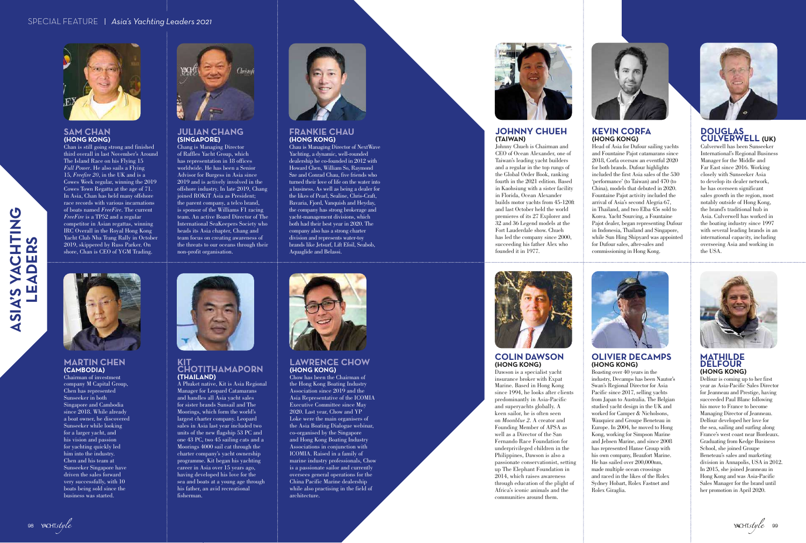ASIA'S YA

CHTING

**LEADERS**

ADEI

<u>n</u>

**2S** 



#### **MARTIN CHEN (CAMBODIA)**

Chairman of investment company M Capital Group, Chen has represented Sunseeker in both Singapore and Cambodia since 2018. While already a boat owner, he discovered Sunseeker while looking for a larger yacht, and his vision and passion for yachting quickly led him into the industry. Chen and his team at Sunseeker Singapore have driven the sales forward very successfully, with 10 boats being sold since the business was started.



#### **KIT CHOTITHAMAPORN (THAILAND)**

A Phuket native, Kit is Asia Regional Manager for Leopard Catamarans and handles all Asia yacht sales for sister brands Sunsail and The Moorings, which form the world's largest charter company. Leopard sales in Asia last year included two units of the new flagship 53 PC and one 43 PC, two 45 sailing cats and a Moorings 4000 sail cat through the charter company's yacht ownership programme. Kit began his yachting career in Asia over 15 years ago, having developed his love for the sea and boats at a young age through his father, an avid recreational fisherman.



#### **LAWRENCE CHOW (HONG KONG)**

Chow has been the Chairman of the Hong Kong Boating Industry Association since 2019 and the Asia Representative of the ICOMIA Executive Committee since May 2020. Last year, Chow and YP Loke were the main organisers of the Asia Boating Dialogue webinar, co-organised by the Singapore and Hong Kong Boating Industry Associations in conjunction with ICOMIA. Raised in a family of marine industry professionals, Chow is a passionate sailor and currently oversees general operations for the China Pacific Marine dealership while also practising in the field of architecture.



#### **SAM CHAN (HONG KONG)**

Chan is still going strong and finished third overall in last November's Around The Island Race on his Flying 15 *Full Power*. He also sails a Flying 15, *Freefire 20*, in the UK and is a Cowes Week regular, winning the 2019 Cowes Town Regatta at the age of 71. In Asia, Chan has held many offshore race records with various incarnations of boats named *FreeFire*. The current *FreeFire* is a TP52 and a regular competitor in Asian regattas, winning IRC Overall in the Royal Hong Kong Yacht Club Nha Trang Rally in October 2019, skippered by Russ Parker. On shore, Chan is CEO of YGM Trading.



#### **JULIAN CHANG (SINGAPORE)**

Chang is Managing Director of Raffles Yacht Group, which has representation in 18 offices worldwide. He has been a Senior Advisor for Burgess in Asia since 2019 and is actively involved in the offshore industry. In late 2019, Chang joined ROKiT Asia as President; the parent company, a telco brand, is sponsor of the Williams F1 racing team. An active Board Director of The International SeaKeepers Society who heads its Asia chapter, Chang and team focus on creating awareness of the threats to our oceans through their non-profit organisation.



#### **FRANKIE CHAU (HONG KONG)**

Chau is Managing Director of NextWave Yachting, a dynamic, well-rounded dealership he co-founded in 2012 with Howard Chen, William So, Raymond Sze and Conrad Chau, five friends who turned their love of life on the water into a business. As well as being a dealer for the likes of Pearl, Sealine, Chris-Craft, Bavaria, Fjord, Vanquish and Heyday, the company has strong brokerage and yacht-management divisions, which both had their best year in 2020. The company also has a strong charter division and represents water-toy brands like Jetsurf, Lift Efoil, Seabob, Aquaglide and Belassi.





## **JOHNNY CHUEH (TAIWAN)**

Johnny Chueh is Chairman and CEO of Ocean Alexander, one of Taiwan's leading yacht builders and a regular in the top rungs of the Global Order Book, ranking fourth in the 2021 edition. Based in Kaohsiung with a sister facility in Florida, Ocean Alexander builds motor yachts from 45-120ft and last October held the world premieres of its 27 Explorer and 32 and 36 Legend models at the Fort Lauderdale show. Chueh has led the company since 2000, succeeding his father Alex who



founded it in 1977.



#### **KEVIN CORFA (HONG KONG)**

Head of Asia for Dufour sailing yachts and Fountaine Pajot catamarans since 2018, Corfa oversaw an eventful 2020 for both brands. Dufour highlights included the first Asia sales of the 530 'performance' (to Taiwan) and 470 (to China), models that debuted in 2020. Fountaine Pajot activity included the arrival of Asia's second Alegria 67, in Thailand, and two Elba 45s sold to Korea. Yacht Sourcing, a Fountaine Pajot dealer, began representing Dufour in Indonesia, Thailand and Singapore, while Sun Hing Shipyard was appointed for Dufour sales, after-sales and commissioning in Hong Kong.



#### **DOUGLAS CULVERWELL (UK)**

Culverwell has been Sunseeker International's Regional Business Manager for the Middle and Far East since 2016. Working closely with Sunseeker Asia to develop its dealer network, he has overseen significant sales growth in the region, most notably outside of Hong Kong, the brand's traditional hub in Asia. Culverwell has worked in the boating industry since 1997 with several leading brands in an international capacity, including overseeing Asia and working in the USA.



### **COLIN DAWSON**



### **(HONG KONG)**

Dawson is a specialist yacht insurance broker with Expat Marine. Based in Hong Kong since 1994, he looks after clients predominantly in Asia-Pacific and superyachts globally. A keen sailor, he is often seen on *Moonblue 2*. A creator and Founding Member of APSA as well as a Director of the San Fernando Race Foundation for underprivileged children in the Philippines, Dawson is also a passionate conservationist, setting up The Elephant Foundation in 2014, which raises awareness through education of the plight of Africa's iconic animals and the communities around them.

#### **OLIVIER DECAMPS (HONG KONG)**

Boasting over 40 years in the industry, Decamps has been Nautor's Swan's Regional Director for Asia Pacific since 2017, selling yachts from Japan to Australia. The Belgian studied yacht design in the UK and worked for Camper & Nicholsons, Wauquiez and Groupe Beneteau in Europe. In 2004, he moved to Hong Kong, working for Simpson Marine and Jebsen Marine, and since 2008 has represented Hanse Group with his own company, Beaufort Marine. He has sailed over 200,000nm, made multiple ocean crossings and raced in the likes of the Rolex Sydney Hobart, Rolex Fastnet and Rolex Giraglia.



#### **MATHILDE DELFOUR (HONG KONG)**

Delfour is coming up to her first year as Asia-Pacific Sales Director for Jeanneau and Prestige, having succeeded Paul Blanc following his move to France to become Managing Director of Jeanneau. Delfour developed her love for the sea, sailing and surfing along France's west coast near Bordeaux. Graduating from Kedge Business School, she joined Groupe Beneteau's sales and marketing division in Annapolis, USA in 2012. In 2015, she joined Jeanneau in Hong Kong and was Asia-Pacific Sales Manager for the brand until her promotion in April 2020.

YACHTstyle 99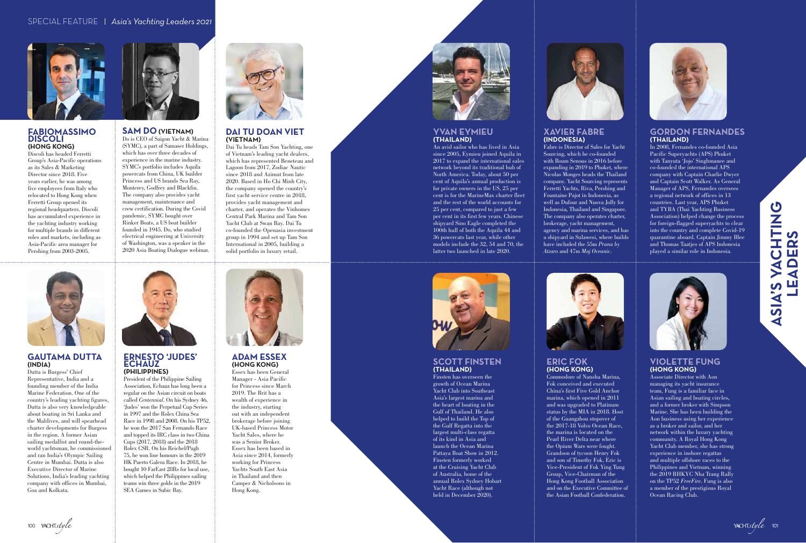#### **FABIOMASSIMO DISCOLI (HONG KONG)**

Discoli has headed Ferretti Group's Asia-Pacific operations as its Sales & Marketing Director since 2018. Five years earlier, he was among five employees from Italy who relocated to Hong Kong when Ferretti Group opened its regional headquarters. Discoli has accumulated experience in the yachting industry working for multiple brands in different roles and markets, including as Asia-Pacific area manager for Pershing from 2003-2005.



#### **YVAN EYMIEU (THAILAND)**

An avid sailor who has lived in Asia since 2005, Eymieu joined Aquila in 2017 to expand the international sales network beyond its traditional hub of North America. Today, about 50 per cent of Aquila's annual production is for private owners in the US, 25 per cent is for the MarineMax charter fleet and the rest of the world accounts for 25 per cent, compared to just a few per cent in its first few years. Chinese shipyard Sino Eagle completed the 100th hull of both the Aquila 44 and 36 powercats last year, while other models include the 32, 54 and 70, the latter two launched in late 2020.



#### **SCOTT FINSTEN (THAILAND)**

Finsten has overseen the growth of Ocean Marina Yacht Club into Southeast Asia's largest marina and the heart of boating in the Gulf of Thailand. He also helped to build the Top of the Gulf Regatta into the largest multi-class regatta of its kind in Asia and launch the Ocean Marina Pattaya Boat Show in 2012. Finsten formerly worked at the Cruising Yacht Club of Australia, home of the annual Rolex Sydney Hobart Yacht Race (although not held in December 2020).



#### **ERIC FOK (HONG KONG)**

Commodore of Nansha Marina, Fok conceived and executed China's first Five Gold Anchor marina, which opened in 2011 and was upgraded to Platinum status by the MIA in 2018. Host of the Guangzhou stopover of the 2017-18 Volvo Ocean Race, the marina is located on the Pearl River Delta near where the Opium Wars were fought. Grandson of tycoon Henry Fok and son of Timothy Fok, Eric is Vice-President of Fok Ying Tung Group, Vice-Chairman of the Hong Kong Football Association and on the Executive Committee of the Asian Football Confederation.



#### **VIOLETTE FUNG (HONG KONG)**

#### **DAI TU DOAN VIET (VIETNAM)**

Associate Director with Aon managing its yacht insurance team, Fung is a familiar face in Asian sailing and boating circles, and a former broker with Simpson Marine. She has been building the Aon business using her experience as a broker and sailor, and her network within the luxury yachting community. A Royal Hong Kong Yacht Club member, she has strong experience in inshore regattas and multiple offshore races to the Philippines and Vietnam, winning the 2019 RHKYC Nha Trang Rally on the TP52 *FreeFire*. Fung is also a member of the prestigious Royal Ocean Racing Club.

#### **XAVIER FABRE (INDONESIA)**

Fabre is Director of Sales for Yacht Sourcing, which he co-founded with Boum Senous in 2016 before expanding in 2019 to Phuket, where Nicolas Monges heads the Thailand company. Yacht Sourcing represents Ferretti Yachts, Riva, Pershing and Fountaine Pajot in Indonesia, as well as Dufour and Nuova Jolly for Indonesia, Thailand and Singapore. The company also operates charter, brokerage, yacht management, agency and marina services, and has a shipyard in Sulawesi, where builds have included the 55m *Prana by Atzaro* and 47m *Maj Oceanic*.



#### **GORDON FERNANDES (THAILAND)**



# **ASIA'S YACHTING**<br>LEADERS **CONSIMING WAS ASSESSED ASSESSED ASSESSED ASSESSED ASSESSED ASSESSED ASSESSED ASSESSED ASSESSED ASSESSED ASSESSED ASSESSED ASSESSED ASSESSED ASSESSED ASSESSED ASSESSED ASSESSED ASSESSED ASSESSED ASSESSED ASSESSED ASSESSED LEADERS**



In 2008, Fernandes co-founded Asia Pacific Superyachts (APS) Phuket with Tanyuta 'Jojo' Singhmanee and co-founded the international APS company with Captain Charlie Dwyer and Captain Scott Walker. As General Manager of APS, Fernandes oversees a regional network of offices in 13 countries. Last year, APS Phuket and TYBA (Thai Yachting Business Association) helped change the process for foreign-flagged superyachts to clear into the country and complete Covid-19 quarantine aboard. Captain Jimmy Blee and Thomas Taatjes of APS Indonesia played a similar role in Indonesia.



#### **SAM DO (VIETNAM)**

Do is CEO of Saigon Yacht & Marina (SYMC), a part of Samaser Holdings, which has over three decades of experience in the marine industry. SYMC's portfolio includes Aquila powercats from China, UK builder Princess and US brands Sea Ray, Monterey, Godfrey and Blackfin. The company also provides yacht management, maintenance and crew certification. During the Covid pandemic, SYMC bought over Rinker Boats, a US boat builder founded in 1945. Do, who studied electrical engineering at University of Washington, was a speaker in the 2020 Asia Boating Dialogue webinar.



Dai Tu heads Tam Son Yachting, one of Vietnam's leading yacht dealers, which has represented Beneteau and Lagoon from 2017, Zodiac Nautic since 2018 and Azimut from late 2020. Based in Ho Chi Minh City, the company opened the country's first yacht service centre in 2018, provides yacht management and charter, and operates the Vinhomes Central Park Marina and Tam Son Yacht Club at Swan Bay. Dai Tu co-founded the Openasia investment group in 1994 and set up Tam Son International in 2005, building a solid portfolio in luxury retail.



#### **GAUTAMA DUTTA (INDIA)**

Dutta is Burgess' Chief Representative, India and a founding member of the India Marine Federation. One of the country's leading yachting figures, Dutta is also very knowledgeable about boating in Sri Lanka and the Maldives, and will spearhead charter developments for Burgess in the region. A former Asian sailing medallist and round-theworld yachtsman, he commissioned and ran India's Olympic Sailing Centre in Mumbai. Dutta is also Executive Director of Marine Solutions, India's leading yachting company with offices in Mumbai, Goa and Kolkata.



**ADAM ESSEX (HONG KONG)**

Essex has been General Manager - Asia Pacific for Princess since March 2019. The Brit has a wealth of experience in the industry, starting out with an independent brokerage before joining UK-based Princess Motor Yacht Sales, where he was a Senior Broker. Essex has been based in Asia since 2014, formerly working for Princess Yachts South East Asia in Thailand and then Camper & Nicholsons in Hong Kong.



#### **ERNESTO 'JUDES' ECHAUZ (PHILIPPINES)**

President of the Philippine Sailing Association, Echauz has long been a regular on the Asian circuit on boats called *Centennial*. On his Sydney 46, 'Judes' won the Perpetual Cup Series in 1997 and the Rolex China Sea Race in 1998 and 2008. On his TP52, he won the 2017 San Fernando Race and topped its IRC class in two China Cups (2017, 2018) and the 2018 Rolex CSR. On his Reichel/Pugh 75, he won line honours in the 2019 HK Puerto Galera Race. In 2018, he bought 10 FarEast 28Rs for local use, which helped the Philippines sailing teams win three golds in the 2019 SEA Games in Subic Bay.

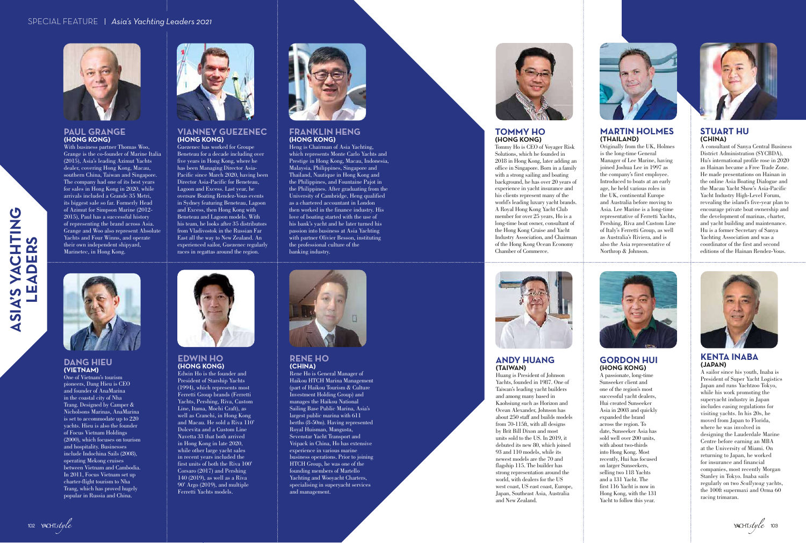SIA'S YA

CHTING

**LEADERS**

ADEI

ற

 $\bullet$  $\tilde{\boldsymbol{\alpha}}$ 



#### **DANG HIEU (VIETNAM)**

One of Vietnam's tourism pioneers, Dang Hieu is CEO and founder of AnaMarina in the coastal city of Nha Trang. Designed by Camper & Nicholsons Marinas, AnaMarina is set to accommodate up to 220 yachts. Hieu is also the founder of Focus Vietnam Holdings (2000), which focuses on tourism and hospitality. Businesses include Indochina Sails (2008), operating Mekong cruises between Vietnam and Cambodia. In 2011, Focus Vietnam set up charter-flight tourism to Nha Trang, which has proved hugely popular in Russia and China.



## **TOMMY HO**

### **(HONG KONG)**



Tommy Ho is CEO of Voyager Risk Solutions, which he founded in 2018 in Hong Kong, later adding an office in Singapore. Born in a family with a strong sailing and boating background, he has over 20 years of experience in yacht insurance and his clients represent many of the world's leading luxury yacht brands. A Royal Hong Kong Yacht Club member for over 25 years, Ho is a long-time boat owner, consultant of the Hong Kong Cruise and Yacht Industry Association, and Chairman of the Hong Kong Ocean Economy Chamber of Commerce.



With business partner Thomas Woo, Grange is the co-founder of Marine Italia (2015), Asia's leading Azimut Yachts dealer, covering Hong Kong, Macau, southern China, Taiwan and Singapore. The company had one of its best years for sales in Hong Kong in 2020, while arrivals included a Grande 35 Metri, its biggest sale so far. Formerly Head of Azimut for Simpson Marine (2012- 2015), Paul has a successful history of representing the brand across Asia. Grange and Woo also represent Absolute Yachts and Four Winns, and operate their own independent shipyard, Marinetec, in Hong Kong.



#### **EDWIN HO (HONG KONG)**

Edwin Ho is the founder and President of Starship Yachts (1994), which represents most Ferretti Group brands (Ferretti Yachts, Pershing, Riva, Custom Line, Itama, Mochi Craft), as well as Cranchi, in Hong Kong and Macau. He sold a Riva 110' Dolcevita and a Custom Line Navetta 33 that both arrived in Hong Kong in late 2020, while other large yacht sales in recent years included the first units of both the Riva 100' Corsaro (2017) and Pershing 140 (2019), as well as a Riva 90' Argo (2019), and multiple Ferretti Yachts models.



#### **RENE HO (CHINA)**

Rene Ho is General Manager of Haikou HTCH Marina Management (part of Haikou Tourism & Culture Investment Holding Group) and manages the Haikou National Sailing Base Public Marina, Asia's largest public marina with 611 berths (8-50m). Having represented Royal Huisman, Mangusta, Sevenstar Yacht Transport and Vripack in China, Ho has extensive experience in various marine business operations. Prior to joining HTCH Group, he was one of the founding members of Martello Yachting and Wooyacht Charters, specialising in superyacht services and management.



#### **PAUL GRANGE (HONG KONG)**

#### **VIANNEY GUEZENEC (HONG KONG)**

A passionate, long-time Sunseeker client and one of the region's most successful yacht dealers, Hui created Sunseeker Asia in 2003 and quickly expanded the brand across the region. To date, Sunseeker Asia has sold well over 200 units, with about two-thirds into Hong Kong. Most recently, Hui has focused on larger Sunseekers, selling two 118 Yachts and a 131 Yacht. The first 116 Yacht is now in Hong Kong, with the 131 Yacht to follow this year.



Guezenec has worked for Groupe Beneteau for a decade including over five years in Hong Kong, where he has been Managing Director Asia-Pacific since March 2020, having been Director Asia-Pacific for Beneteau, Lagoon and Excess. Last year, he oversaw Boating Rendez-Vous events in Sydney featuring Beneteau, Lagoon and Excess, then Hong Kong with Beneteau and Lagoon models. With his team, he looks after 35 distributors from Vladivostok in the Russian Far East all the way to New Zealand. An experienced sailor, Guezenec regularly races in regattas around the region.





#### **FRANKLIN HENG (HONG KONG)**

Heng is Chairman of Asia Yachting, which represents Monte Carlo Yachts and Prestige in Hong Kong, Macau, Indonesia, Malaysia, Philippines, Singapore and Thailand, Nautique in Hong Kong and the Philippines, and Fountaine Pajot in the Philippines. After graduating from the University of Cambridge, Heng qualified as a chartered accountant in London then worked in the finance industry. His love of boating started with the use of his bank's yacht and he later turned his passion into business at Asia Yachting with partner Olivier Besson, instituting the professional culture of the banking industry.



#### **MARTIN HOLMES (THAILAND)**

Originally from the UK, Holmes is the long-time General Manager of Lee Marine, having joined Joshua Lee in 1997 as the company's first employee. Introduced to boats at an early age, he held various roles in the UK, continental Europe and Australia before moving to Asia. Lee Marine is a long-time representative of Ferretti Yachts, Pershing, Riva and Custom Line of Italy's Ferretti Group, as well as Australia's Riviera, and is also the Asia representative of Northrop & Johnson.



#### **STUART HU (CHINA)**

A consultant of Sanya Central Business District Administration (SYCBDA), Hu's international profile rose in 2020 as Hainan became a Free Trade Zone. He made presentations on Hainan in the online Asia Boating Dialogue and the Macau Yacht Show's Asia-Pacific Yacht Industry High-Level Forum, revealing the island's five-year plan to encourage private boat ownership and the development of marinas, charter, and yacht building and maintenance. Hu is a former Secretary of Sanya Yachting Association and was a coordinator of the first and second editions of the Hainan Rendez-Vous.



## **ANDY HUANG**

### **(TAIWAN)**

Huang is President of Johnson Yachts, founded in 1987. One of Taiwan's leading yacht builders and among many based in Kaohsiung such as Horizon and Ocean Alexander, Johnson has about 250 staff and builds models from 70-115ft, with all designs by Brit Bill Dixon and most units sold to the US. In 2019, it debuted its new 80, which joined 93 and 110 models, while its newest models are the 70 and flagship 115. The builder has strong representation around the world, with dealers for the US west coast, US east coast, Europe, Japan, Southeast Asia, Australia



and New Zealand.

102 YACHTstyle

#### **GORDON HUI (HONG KONG)**

#### **KENTA INABA (JAPAN)**

A sailor since his youth, Inaba is President of Super Yacht Logistics Japan and runs Yachtzoo Tokyo, while his work promoting the superyacht industry in Japan includes easing regulations for visiting yachts. In his 20s, he moved from Japan to Florida, where he was involved in designing the Lauderdale Marine Centre before earning an MBA at the University of Miami. On returning to Japan, he worked for insurance and financial companies, most recently Morgan Stanley in Tokyo. Inaba sails regularly on two *Scallywag* yachts, the 100ft supermaxi and Orma 60 racing trimaran.

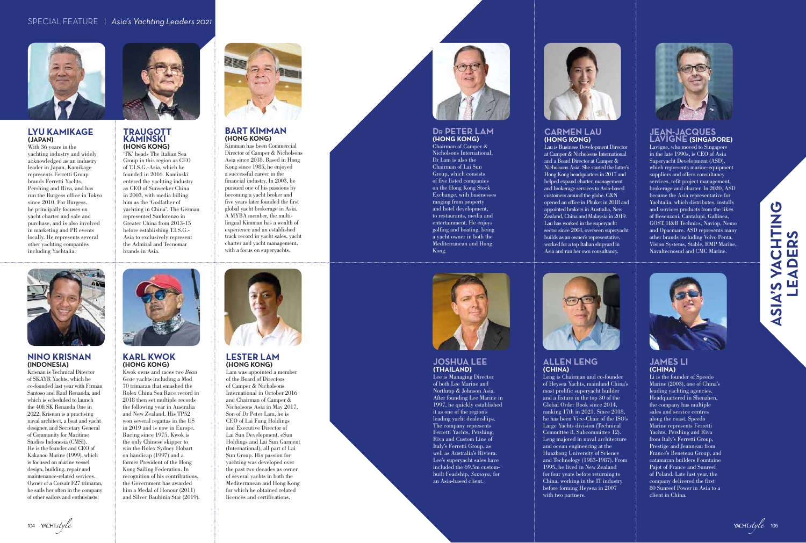#### **TRAUGOTT KAMINSKI (HONG KONG)**

'TK' heads The Italian Sea Group in this region as CEO of T.I.S.G.-Asia, which he founded in 2016. Kaminski entered the yachting industry as CEO of Sunseeker China in 2003, with media billing him as the 'Godfather of yachting in China'. The German represented Sanlorenzo in Greater China from 2013-15 before establishing T.I.S.G.- Asia to exclusively represent the Admiral and Tecnomar brands in Asia.



#### **CARMEN LAU (HONG KONG)**

Lau is Business Development Director at Camper & Nicholsons International and a Board Director at Camper & Nicholsons Asia. She started the latter's Hong Kong headquarters in 2017 and helped expand charter, management and brokerage services to Asia-based customers around the globe. C&N opened an office in Phuket in 2018 and appointed brokers in Australia, New Zealand, China and Malaysia in 2019. Lau has worked in the superyacht sector since 2004, overseen superyacht builds as an owner's representative, worked for a top Italian shipyard in Asia and run her own consultancy.



#### **ALLEN LENG (CHINA)**

Leng is Chairman and co-founder of Heysea Yachts, mainland China's most prolific superyacht builder and a fixture in the top 30 of the Global Order Book since 2014, ranking 17th in 2021. Since 2018, he has been Vice-Chair of the ISO's Large Yachts division (Technical Committee 8, Subcommittee 12). Leng majored in naval architecture and ocean engineering at the Huazhong University of Science and Technology (1983-1987). From 1995, he lived in New Zealand for four years before returning to China, working in the IT industry before forming Heysea in 2007 with two partners.



#### **JAMES LI (CHINA)**

Li is the founder of Speedo Marine (2003), one of China's leading yachting agencies. Headquartered in Shenzhen, the company has multiple sales and service centres along the coast. Speedo Marine represents Ferretti Yachts, Pershing and Riva from Italy's Ferretti Group, Prestige and Jeanneau from France's Beneteau Group, and catamaran builders Fountaine Pajot of France and Sunreef of Poland. Late last year, the company delivered the first 80 Sunreef Power in Asia to a client in China.

## S VACHTING<br>EADERS **CONSIMING ASIA'S YACK ASIA'S YACK ASIA'S ASIA'S ASIA'S ASIA'S ASIA'S ASIA'S ASIA'S ASIA'S ASIA'S ASI LEADERS** ASIA'S



#### **JEAN-JACQUES LAVIGNE (SINGAPORE)**

Lavigne, who moved to Singapore in the late 1990s, is CEO of Asia Superyacht Development (ASD), which represents marine-equipment suppliers and offers consultancy services, refit project management, brokerage and charter. In 2020, ASD became the Asia representative for Yachtalia, which distributes, installs and services products from the likes of Besenzoni, Cantalupi, Gallinea, GOST, H&B Technics, Naviop, Nemo and Opacmare. ASD represents many other brands including Volvo Penta, Vision Systems, Stable, RMP Marine, Navaltecnosud and CMC Marine.



#### **JOSHUA LEE (THAILAND)**



Lee is Managing Director of both Lee Marine and Northrop & Johnson Asia. After founding Lee Marine in 1997, he quickly established it as one of the region's leading yacht dealerships. The company represents Ferretti Yachts, Pershing, Riva and Custom Line of Italy's Ferretti Group, as well as Australia's Riviera. Lee's superyacht sales have included the 69.5m custombuilt Feadship, *Samaya*, for an Asia-based client.

104 YACHTstyle



#### **BART KIMMAN (HONG KONG)**

Kimman has been Commercial Director of Camper & Nicholsons Asia since 2018. Based in Hong Kong since 1985, he enjoyed a successful career in the financial industry. In 2003, he pursued one of his passions by becoming a yacht broker and five years later founded the first global yacht brokerage in Asia. A MYBA member, the multilingual Kimman has a wealth of experience and an established track record in yacht sales, yacht charter and yacht management, with a focus on superyachts.



#### **NINO KRISNAN (INDONESIA)**

Krisnan is Technical Director of SKAYR Yachts, which he co-founded last year with Firman Santoso and Raul Renanda, and which is scheduled to launch the 40ft SK Renanda One in 2022. Krisnan is a practising naval architect, a boat and yacht designer, and Secretary General of Community for Maritime Studies Indonesia (CMSI). He is the founder and CEO of Kakanoo Marine (1999), which is focused on marine vessel design, building, repair and maintenance-related services. Owner of a Corsair F27 trimaran, he sails her often in the company of other sailors and enthusiasts.



#### **KARL KWOK (HONG KONG)**

Kwok owns and races two *Beau Geste* yachts including a Mod 70 trimaran that smashed the Rolex China Sea Race record in 2018 then set multiple records the following year in Australia and New Zealand. His TP52 won several regattas in the US in 2019 and is now in Europe. Racing since 1975, Kwok is the only Chinese skipper to win the Rolex Sydney Hobart on handicap (1997) and a former President of the Hong Kong Sailing Federation. In recognition of his contributions, the Government has awarded him a Medal of Honour (2011) and Silver Bauhinia Star (2019).



#### **D R PETER LAM (HONG KONG)**

Chairman of Camper & Nicholsons International, Dr Lam is also the Chairman of Lai Sun Group, which consists of five listed companies on the Hong Kong Stock Exchange, with businesses ranging from property and hotel development, to restaurants, media and entertainment. He enjoys golfing and boating, being a yacht owner in both the Mediterranean and Hong Kong.



#### **LESTER LAM (HONG KONG)**

Lam was appointed a member of the Board of Directors of Camper & Nicholsons International in October 2016 and Chairman of Camper & Nicholsons Asia in May 2017. Son of Dr Peter Lam, he is CEO of Lai Fung Holdings and Executive Director of Lai Sun Development, eSun Holdings and Lai Sun Garment (International), all part of Lai Sun Group. His passion for yachting was developed over the past two decades as owner of several yachts in both the Mediterranean and Hong Kong for which he obtained related licences and certifications.



#### **LYU KAMIKAGE (JAPAN)**

With 36 years in the yachting industry and widely acknowledged as an industry leader in Japan, Kamikage represents Ferretti Group brands Ferretti Yachts, Pershing and Riva, and has run the Burgess office in Tokyo since 2010. For Burgess, he principally focuses on yacht charter and sale and purchase, and is also involved in marketing and PR events locally. He represents several other yachting companies including Yachtalia.

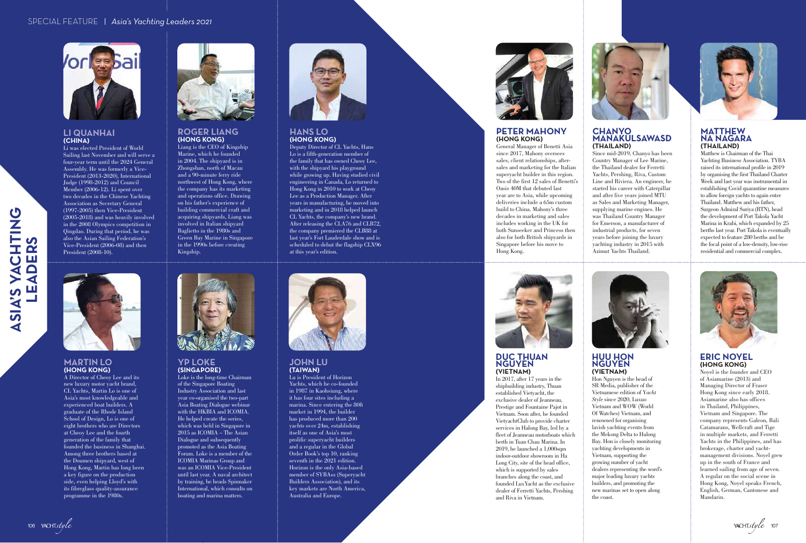SIA'S YA

CHTING

**LEADERS**

**ADI** 

<u>n</u>

 $\bullet$  $\tilde{\mathbf{a}}$  $\overline{\mathbf{u}}$ 



#### **YP LOKE (SINGAPORE)**

Loke is the long-time Chairman of the Singapore Boating Industry Association and last year co-organised the two-part Asia Boating Dialogue webinar with the HKBIA and ICOMIA. He helped create the series, which was held in Singapore in 2015 as ICOMIA – The Asian Dialogue and subsequently promoted as the Asia Boating Forum. Loke is a member of the ICOMIA Marinas Group and was an ICOMIA Vice-President until last year. A naval architect by training, he heads Spinnaker International, which consults on boating and marina matters.



#### **JOHN LU (TAIWAN)**

Lu is President of Horizon Yachts, which he co-founded in 1987 in Kaohsiung, where it has four sites including a marina. Since entering the 80ft market in 1994, the builder has produced more than 200 yachts over 24m, establishing itself as one of Asia's most prolific superyacht builders and a regular in the Global Order Book's top 10, ranking seventh in the 2021 edition. Horizon is the only Asia-based member of SYBAss (Superyacht Builders Association), and its key markets are North America, Australia and Europe.



## **PETER MAHONY**

## **(HONG KONG)**

General Manager of Benetti Asia since 2017, Mahony oversees sales, client relationships, aftersales and marketing for the Italian superyacht builder in this region. Two of the first 12 sales of Benetti's Oasis 40M that debuted last year are to Asia, while upcoming deliveries include a 65m custom build to China. Mahony's three decades in marketing and sales includes working in the UK for both Sunseeker and Princess then also for both British shipyards in Singapore before his move to



## **DUC THUAN**



Hong Kong.



#### CHANYO. **MANAKULSAWASD (THAILAND)**

#### **ROGER LIANG (HONG KONG)**

Liang is the CEO of Kingship Marine, which he founded in 2004. The shipyard is in Zhongshan, north of Macau and a 90-minute ferry ride northwest of Hong Kong, where the company has its marketing and operations office. Drawing on his father's experience of building commercial craft and acquiring shipyards, Liang was involved in Italian shipyard Baglietto in the 1980s and Green Bay Marine in Singapore in the 1990s before creating Kingship.



#### **HANS LO (HONG KONG)**

Deputy Director of CL Yachts, Hans Lo is a fifth-generation member of the family that has owned Cheoy Lee, with the shipyard his playground while growing up. Having studied civil engineering in Canada, Lo returned to Hong Kong in 2010 to work at Cheoy Lee as a Production Manager. After years in manufacturing, he moved into marketing and in 2018 helped launch CL Yachts, the company's new brand. After releasing the CLA76 and CLB72, the company premiered the CLB88 at last year's Fort Lauderdale show and is scheduled to debut the flagship CLX96 at this year's edition.



#### **MARTIN LO (HONG KONG)**

A Director of Cheoy Lee and its new luxury motor yacht brand, CL Yachts, Martin Lo is one of Asia's most knowledgeable and experienced boat builders. A graduate of the Rhode Island School of Design, Lo is one of eight brothers who are Directors at Cheoy Lee and the fourth generation of the family that founded the business in Shanghai. Among three brothers based at the Doumen shipyard, west of Hong Kong, Martin has long been a key figure on the production side, even helping Lloyd's with its fibreglass quality-assurance programme in the 1980s.





Since mid-2019, Chanyo has been Country Manager of Lee Marine, the Thailand dealer for Ferretti Yachts, Pershing, Riva, Custom Line and Riviera. An engineer, he started his career with Caterpillar and after five years joined MTU as Sales and Marketing Manager, supplying marine engines. He was Thailand Country Manager for Emerson, a manufacturer of industrial products, for seven years before joining the luxury yachting industry in 2015 with Azimut Yachts Thailand.



#### **MATTHEW NA NAGARA (THAILAND)**

Matthew is Chairman of the Thai Yachting Business Association. TYBA raised its international profile in 2019 by organising the first Thailand Charter Week and last year was instrumental in establishing Covid quarantine measures to allow foreign yachts to again enter Thailand. Matthew and his father, Surgeon Admiral Suriya (RTN), head the development of Port Takola Yacht Marina in Krabi, which expanded by 25 berths last year. Port Takola is eventually expected to feature 280 berths and be the focal point of a low-density, low-rise residential and commercial complex.



#### **NGUYEN (VIETNAM)**

In 2017, after 17 years in the shipbuilding industry, Thuan established Vietyacht, the exclusive dealer of Jeanneau, Prestige and Fountaine Pajot in Vietnam. Soon after, he founded VietyachtClub to provide charter services in Halong Bay, led by a fleet of Jeanneau motorboats which berth in Tuan Chau Marina. In 2019, he launched a 1,000sqm indoor-outdoor showroom in Ha Long City, site of the head office, which is supported by sales branches along the coast, and founded LuxYacht as the exclusive dealer of Ferretti Yachts, Pershing and Riva in Vietnam.

106 YACHTstyle

#### **HUU HON NGUYEN (VIETNAM)**

Hon Nguyen is the head of SR Media, publisher of the Vietnamese edition of Y*acht Style* since 2020, Luxuo Vietnam and WOW (World Of Watches) Vietnam, and renowned for organising lavish yachting events from the Mekong Delta to Halong Bay. Hon is closely monitoring yachting developments in Vietnam, supporting the growing number of yacht dealers representing the word's major leading luxury yachts builders, and promoting the new marinas set to open along the coast.



#### **ERIC NOYEL (HONG KONG)**

Noyel is the founder and CEO of Asiamarine (2013) and Managing Director of Fraser Hong Kong since early 2018. Asiamarine also has offices in Thailand, Philippines, Vietnam and Singapore. The company represents Galeon, Bali Catamarans, Wellcraft and Tige in multiple markets, and Ferretti Yachts in the Philippines, and has brokerage, charter and yachtmanagement divisions. Noyel grew up in the south of France and learned sailing from age of seven. A regular on the social scene in Hong Kong, Noyel speaks French, English, German, Cantonese and Mandarin.

#### **LI QUANHAI (CHINA)**

Li was elected President of World Sailing last November and will serve a four-year term until the 2024 General Assembly. He was formerly a Vice-President (2013-2020), International Judge (1998-2012) and Council Member (2006-12). Li spent over two decades in the Chinese Yachting Association as Secretary General (1997-2005) then Vice-President (2005-2018) and was heavily involved in the 2008 Olympics competition in Qingdao. During that period, he was also the Asian Sailing Federation's Vice-President (2006-08) and then President (2008-10).



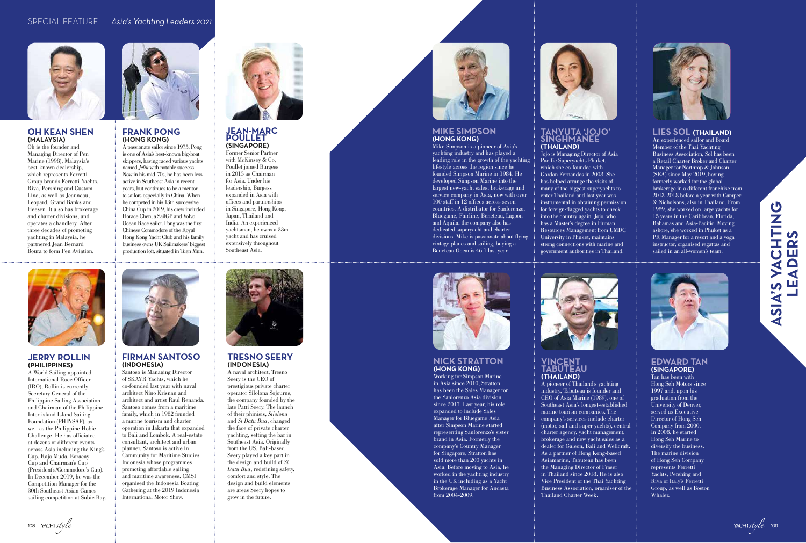#### **FRANK PONG (HONG KONG)**

A passionate sailor since 1975, Pong is one of Asia's best-known big-boat skippers, having raced various yachts named *Jelik* with notable success. Now in his mid-70s, he has been less active in Southeast Asia in recent years, but continues to be a mentor to sailors especially in China. When he competed in his 13th successive China Cup in 2019, his crew included Horace Chen, a SailGP and Volvo Ocean Race sailor. Pong was the first Chinese Commodore of the Royal Hong Kong Yacht Club and his family business owns UK Sailmakers' biggest production loft, situated in Tuen Mun.

#### **TANYUTA 'JOJO' SINGHMANEE (THAILAND)**

Jojo is Managing Director of Asia Pacific Superyachts Phuket, which she co-founded with Gordon Fernandes in 2008. She has helped arrange the visits of many of the biggest superyachts to enter Thailand and last year was instrumental in obtaining permission for foreign-flagged yachts to check into the country again. Jojo, who has a Master's degree in Human Resources Management from UMDC University in Phuket, maintains strong connections with marine and government authorities in Thailand.



#### **VINCENT TABUTEAU (THAILAND)**

A pioneer of Thailand's yachting industry, Tabuteau is founder and CEO of Asia Marine (1989), one of Southeast Asia's longest-established marine tourism companies. The company's services include charter (motor, sail and super yachts), central charter agency, yacht management, brokerage and new yacht sales as a dealer for Galeon, Bali and Wellcraft. As a partner of Hong Kong-based Asiamarine, Tabuteau has been the Managing Director of Fraser in Thailand since 2018. He is also Vice President of the Thai Yachting Business Association, organiser of the Thailand Charter Week.



#### **EDWARD TAN (SINGAPORE)**

Tan has been with Hong Seh Motors since 1997 and, upon his graduation from the University of Denver, served as Executive Director of Hong Seh Company from 2000. In 2008, he started Hong Seh Marine to diversify the business. The marine division of Hong Seh Company represents Ferretti Yachts, Pershing and Riva of Italy's Ferretti Group, as well as Boston Whaler.

## S VACHTING<br>EADERS **CONSTRUMENT CONSTRUMENT CONSTRUMENT CONSTRUCT CONSTRUCTION LEADERS** ASIA'S



#### **LIES SOL (THAILAND)**

An experienced sailor and Board Member of the Thai Yachting Business Association, Sol has been a Retail Charter Broker and Charter Manager for Northrop & Johnson (SEA) since May 2019, having formerly worked for the global brokerage in a different franchise from 2013-2018 before a year with Camper & Nicholsons, also in Thailand. From 1989, she worked on large yachts for 15 years in the Caribbean, Florida, Bahamas and Asia-Pacific. Moving ashore, she worked in Phuket as a PR Manager for a resort and a yoga instructor, organised regattas and sailed in an all-women's team.



#### **NICK STRATTON (HONG KONG)**



Working for Simpson Marine in Asia since 2010, Stratton has been the Sales Manager for the Sanlorenzo Asia division since 2017. Last year, his role expanded to include Sales Manager for Bluegame Asia after Simpson Marine started representing Sanlorenzo's sister brand in Asia. Formerly the company's Country Manager for Singapore, Stratton has sold more than 200 yachts in Asia. Before moving to Asia, he worked in the yachting industry in the UK including as a Yacht Brokerage Manager for Ancasta from 2004-2009.

108 YACHTstyle



#### **JEAN-MARC POULLET (SINGAPORE)**

Former Senior Partner with McKinsey & Co, Poullet joined Burgess in 2015 as Chairman for Asia. Under his leadership, Burgess expanded in Asia with offices and partnerships in Singapore, Hong Kong, Japan, Thailand and India. An experienced yachtsman, he owns a 33m yacht and has cruised extensively throughout Southeast Asia.



#### **JERRY ROLLIN (PHILIPPINES)**

A World Sailing-appointed International Race Officer (IRO), Rollin is currently Secretary General of the Philippine Sailing Association and Chairman of the Philippine Inter-island Island Sailing Foundation (PHINSAF), as well as the Philippine Hobie Challenge. He has officiated at dozens of different events across Asia including the King's Cup, Raja Muda, Boracay Cup and Chairman's Cup (President's/Commodore's Cup). In December 2019, he was the Competition Manager for the 30th Southeast Asian Games sailing competition at Subic Bay.



#### **FIRMAN SANTOSO (INDONESIA)**

Santoso is Managing Director of SKAYR Yachts, which he co-founded last year with naval architect Nino Krisnan and architect and artist Raul Renanda. Santoso comes from a maritime family, which in 1982 founded a marine tourism and charter operation in Jakarta that expanded to Bali and Lombok. A real-estate consultant, architect and urban planner, Santoso is active in Community for Maritime Studies Indonesia whose programmes promoting affordable sailing and maritime awareness. CMSI organised the Indonesia Boating Gathering at the 2019 Indonesia International Motor Show.



#### **MIKE SIMPSON (HONG KONG)**

Mike Simpson is a pioneer of Asia's yachting industry and has played a leading role in the growth of the yachting lifestyle across the region since he founded Simpson Marine in 1984. He developed Simpson Marine into the largest new-yacht sales, brokerage and service company in Asia, now with over 100 staff in 12 offices across seven countries. A distributor for Sanlorenzo, Bluegame, Fairline, Beneteau, Lagoon and Aquila, the company also has dedicated superyacht and charter divisions. Mike is passionate about flying vintage planes and sailing, buying a Beneteau Oceanis 46.1 last year.



#### **TRESNO SEERY (INDONESIA)**

A naval architect, Tresno Seery is the CEO of prestigious private charter operator Silolona Sojourns, the company founded by the late Patti Seery. The launch of their phinisis, *Silolona*  and *Si Datu Bua*, changed the face of private charter yachting, setting the bar in Southeast Asia. Originally from the US, Bali-based Seery played a key part in the design and build of *Si Datu Bua*, redefining safety, comfort and style. The design and build elements are areas Seery hopes to grow in the future.



#### **OH KEAN SHEN (MALAYSIA)**

Oh is the founder and Managing Director of Pen Marine (1998), Malaysia's best-known dealership, which represents Ferretti Group brands Ferretti Yachts, Riva, Pershing and Custom Line, as well as Jeanneau, Leopard, Grand Banks and Heesen. It also has brokerage and charter divisions, and operates a chandlery. After three decades of promoting yachting in Malaysia, he partnered Jean Bernard Boura to form Pen Aviation.

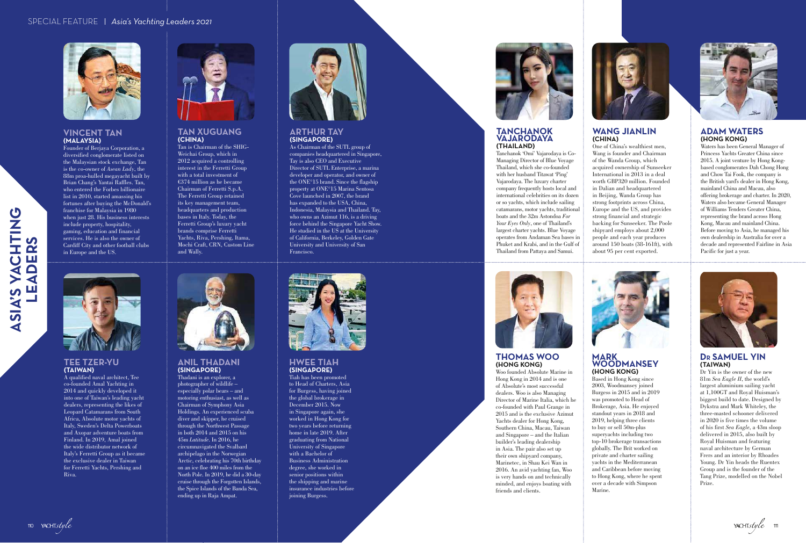

ASIA'S YA

CHTING

**LEADERS**

**ADI** 

ற

 $\tilde{\mathbf{a}}$ 画



#### **ANIL THADANI (SINGAPORE)**

Thadani is an explorer, a photographer of wildlife – especially polar bears – and motoring enthusiast, as well as Chairman of Symphony Asia Holdings. An experienced scuba diver and skipper, he cruised through the Northwest Passage in both 2014 and 2015 on his 45m *Latitude*. In 2016, he circumnavigated the Svalbard archipelago in the Norwegian Arctic, celebrating his 70th birthday on an ice floe 400 miles from the North Pole. In 2019, he did a 30-day cruise through the Forgotten Islands, the Spice Islands of the Banda Sea, ending up in Raja Ampat.



#### **HWEE TIAH (SINGAPORE)**

Tiah has been promoted to Head of Charters, Asia for Burgess, having joined the global brokerage in December 2015. Now in Singapore again, she worked in Hong Kong for two years before returning home in late 2019. After graduating from National University of Singapore with a Bachelor of Business Administration degree, she worked in senior positions within the shipping and marine insurance industries before joining Burgess.





#### **TANCHANOK VAJARODAYA (THAILAND)**

Tanchanok 'Omi' Vajarodaya is Co-Managing Director of Blue Voyage Thailand, which she co-founded with her husband Titawat 'Ping' Vajarodaya. The luxury charter company frequently hosts local and international celebrities on its dozen or so yachts, which include sailing catamarans, motor yachts, traditional boats and the 32m Astondoa *For Your Eyes Only*, one of Thailand's largest charter yachts. Blue Voyage operates from Andaman Sea bases in Phuket and Krabi, and in the Gulf of Thailand from Pattaya and Samui.

#### **TAN XUGUANG (CHINA)**

Tan is Chairman of the SHIG-Weichai Group, which in 2012 acquired a controlling interest in the Ferretti Group with a total investment of €374 million as he became Chairman of Ferretti S.p.A. The Ferretti Group retained its key management team, headquarters and production bases in Italy. Today, the Ferretti Group's luxury yacht brands comprise Ferretti Yachts, Riva, Pershing, Itama, Mochi Craft, CRN, Custom Line and Wally.



#### **ARTHUR TAY (SINGAPORE)**

As Chairman of the SUTL group of companies headquartered in Singapore, Tay is also CEO and Executive Director of SUTL Enterprise, a marina developer and operator, and owner of the ONE°15 brand. Since the flagship property at ONE°15 Marina Sentosa Cove launched in 2007, the brand has expanded to the USA, China, Indonesia, Malaysia and Thailand. Tay, who owns an Azimut 116, is a driving force behind the Singapore Yacht Show. He studied in the US at the University of California, Berkeley, Golden Gate University and University of San Francisco.



#### **TEE TZER-YU (TAIWAN)**

A qualified naval architect, Tee co-founded Amal Yachting in 2014 and quickly developed it into one of Taiwan's leading yacht dealers, representing the likes of Leopard Catamarans from South Africa, Absolute motor yachts of Italy, Sweden's Delta Powerboats and Axopar adventure boats from Finland. In 2019, Amal joined the wide distributor network of Italy's Ferretti Group as it became the exclusive dealer in Taiwan for Ferretti Yachts, Pershing and Riva.



#### **WANG JIANLIN (CHINA)**



One of China's wealthiest men, Wang is founder and Chairman of the Wanda Group, which acquired ownership of Sunseeker International in 2013 in a deal worth GBP320 million. Founded in Dalian and headquartered in Beijing, Wanda Group has strong footprints across China, Europe and the US, and provides strong financial and strategic backing for Sunseeker. The Poole shipyard employs about 2,000 people and each year produces around 150 boats (38-161ft), with about 95 per cent exported.



#### **ADAM WATERS (HONG KONG)**

Waters has been General Manager of Princess Yachts Greater China since 2015. A joint venture by Hong Kongbased conglomerates Dah Chong Hong and Chow Tai Fook, the company is the British yard's dealer in Hong Kong, mainland China and Macau, also offering brokerage and charter. In 2020, Waters also became General Manager of Williams Tenders Greater China, representing the brand across Hong Kong, Macau and mainland China. Before moving to Asia, he managed his own dealership in Australia for over a decade and represented Fairline in Asia Pacific for just a year.





**THOMAS WOO (HONG KONG)**



Woo founded Absolute Marine in Hong Kong in 2014 and is one of Absolute's most successful dealers. Woo is also Managing Director of Marine Italia, which he co-founded with Paul Grange in 2015 and is the exclusive Azimut Yachts dealer for Hong Kong, Southern China, Macau, Taiwan and Singapore – and the Italian builder's leading dealership in Asia. The pair also set up their own shipyard company, Marinetec, in Shau Kei Wan in 2016. An avid yachting fan, Woo is very hands on and technically minded, and enjoys boating with friends and clients.

#### **MARK WOODMANSEY (HONG KONG)**

Based in Hong Kong since 2003, Woodmansey joined Burgess in 2015 and in 2019 was promoted to Head of Brokerage, Asia. He enjoyed standout years in 2018 and 2019, helping three clients to buy or sell 50m-plus superyachts including two top-10 brokerage transactions globally. The Brit worked on private and charter sailing yachts in the Mediterranean and Caribbean before moving to Hong Kong, where he spent over a decade with Simpson Marine.



#### **DR SAMUEL YIN (TAIWAN)**

Dr Yin is the owner of the new 81m *Sea Eagle II*, the world's largest aluminium sailing yacht at 1,100GT and Royal Huisman's biggest build to date. Designed by Dykstra and Mark Whiteley, the three-masted schooner delivered in 2020 is five times the volume of his first *Sea Eagle*, a 43m sloop delivered in 2015, also built by Royal Huisman and featuring naval architecture by German Frers and an interior by Rhoades Young. Dr Yin heads the Ruentex Group and is the founder of the Tang Prize, modelled on the Nobel Prize.

YACHTstyle m

#### **VINCENT TAN (MALAYSIA)**

Founder of Berjaya Corporation, a diversified conglomerate listed on the Malaysian stock exchange, Tan is the co-owner of *Asean Lady*, the 88m proa-hulled megayacht built by Brian Chang's Yantai Raffles. Tan, who entered the Forbes billionaire list in 2010, started amassing his fortunes after buying the McDonald's franchise for Malaysia in 1980 when just 28. His business interests include property, hospitality, gaming, education and financial services. He is also the owner of Cardiff City and other football clubs in Europe and the US.